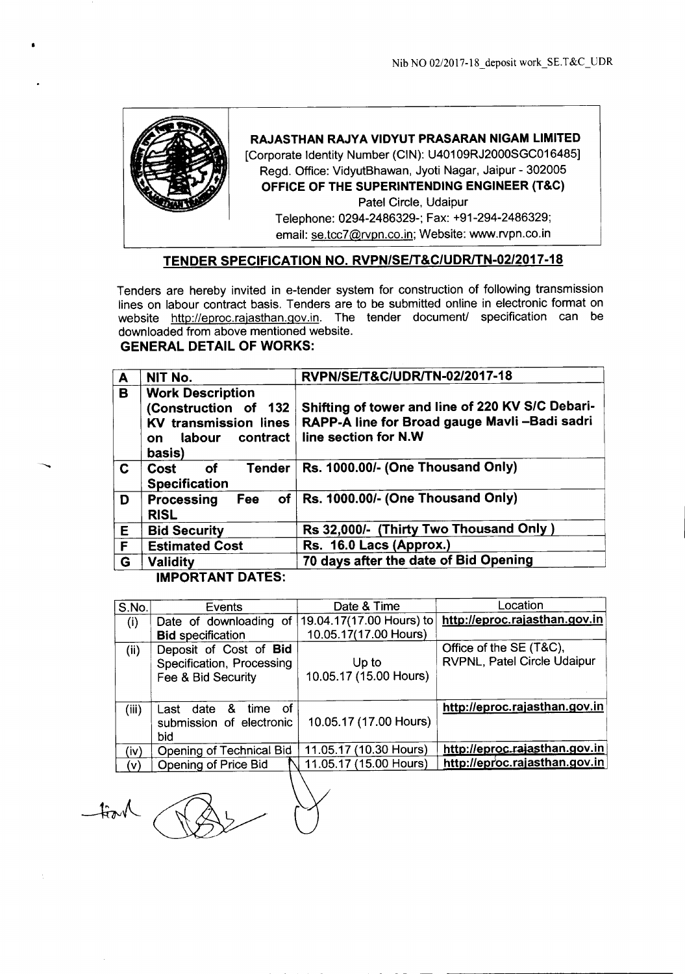

### **RAJASTHAN RAJYA VIDYUT PRASARAN NIGAM LIMITED**

[Corporate Identity Number (CIN): U40109RJ2000SGC016485] Regd. Office: VidyutBhawan, Jyoti Nagar, Jaipur - 302005 **OFFICE OF THE SUPERINTENDING ENGINEER (T&C)** Patel Circle, Udaipur

Telephone: 0294-2486329-; Fax: +91-294-2486329; email: se.tcc7@rvpn.co.in; Website: www.rvpn.co.in

## **TENDER SPECIFICATION NO. RVPN/SEIT&C/UDRlTN-02/2017-18**

Tenders are hereby invited in e-tender system for construction of following transmission lines on labour contract basis. Tenders are to be submitted online in electronic format on website http://eproc.rajasthan.gov.in. The tender document/ specification can be downloaded from above mentioned website.

# **GENERAL DETAIL OF WORKS:**

| NIT No.                                                                                                               | RVPN/SE/T&C/UDR/TN-02/2017-18                                                                                            |  |
|-----------------------------------------------------------------------------------------------------------------------|--------------------------------------------------------------------------------------------------------------------------|--|
| <b>Work Description</b><br>(Construction of 132<br><b>KV transmission lines</b><br>contract<br>labour<br>on<br>basis) | Shifting of tower and line of 220 KV S/C Debari-<br>RAPP-A line for Broad gauge Mavli-Badi sadri<br>line section for N.W |  |
| <b>Tender</b><br><b>of</b><br>Cost<br><b>Specification</b>                                                            | Rs. 1000.00/- (One Thousand Only)                                                                                        |  |
| of <sub>1</sub><br>Fee<br><b>Processing</b><br><b>RISL</b>                                                            | Rs. 1000.00/- (One Thousand Only)                                                                                        |  |
| <b>Bid Security</b>                                                                                                   | Rs 32,000/- (Thirty Two Thousand Only)                                                                                   |  |
| <b>Estimated Cost</b>                                                                                                 | Rs. 16.0 Lacs (Approx.)                                                                                                  |  |
| <b>Validity</b>                                                                                                       | 70 days after the date of Bid Opening                                                                                    |  |
|                                                                                                                       |                                                                                                                          |  |

### **IMPORTANT DATES:**

| S.No. | Events                                                                    | Date & Time                     | Location                                               |
|-------|---------------------------------------------------------------------------|---------------------------------|--------------------------------------------------------|
| (i)   | Date of downloading of                                                    | 19.04.17(17.00 Hours) to        | http://eproc.rajasthan.gov.in                          |
|       | <b>Bid specification</b>                                                  | 10.05.17(17.00 Hours)           |                                                        |
| (ii)  | Deposit of Cost of Bid<br>Specification, Processing<br>Fee & Bid Security | Up to<br>10.05.17 (15.00 Hours) | Office of the SE (T&C),<br>RVPNL, Patel Circle Udaipur |
| (iii) | - of<br>& time<br>Last date<br>submission of electronic<br>bid            | 10.05.17 (17.00 Hours)          | http://eproc.rajasthan.gov.in                          |
| (iv)  | Opening of Technical Bid                                                  | 11.05.17 (10.30 Hours)          | http://eproc.rajasthan.gov.in                          |
| (v)   | Opening of Price Bid                                                      | 11.05.17 (15.00 Hours)          | http://eproc.rajasthan.gov.in                          |
|       |                                                                           |                                 |                                                        |

 $-tint$ 

------------- \_.\_ -- - -- -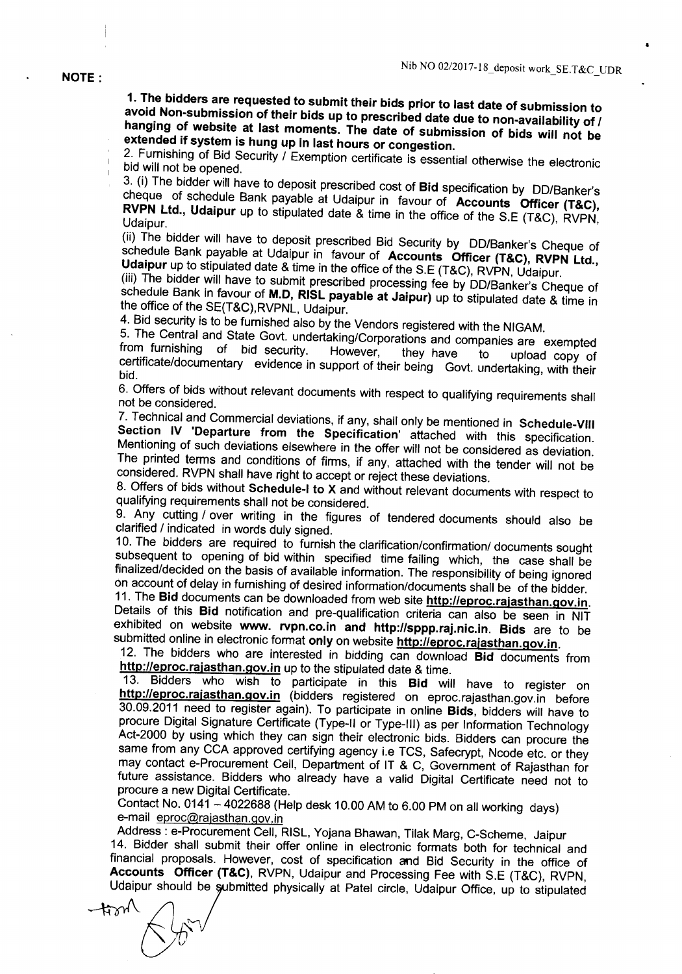#### NOTE:

1. The bidders are requested to submit their bids prior to last date of submission to avoid Non-submission of their bids up to prescribed date due to non-availability of *I* hanging of website at last moments. The date of submission of bids will not be extended if system is hung up in last hours or congestion.

2. Furnishing of Bid Security / Exemption certificate is essential otherwise the electronic bid will not be opened.

3. (i) The bidder will have to deposit prescribed cost of Bid specification by DD/Banker's cheque of schedule Bank payable at Udaipur in favour of Accounts Officer (T&C), RVPN Ltd., Udaipur up to stipulated date & time in the office of the S.E (T&C), RVPN, Udaipur.

(ii) The bidder will have to deposit prescribed Bid Security by DD/Banker's Cheque of schedule Bank payable at Udaipur in favour of Accounts Officer (T&C), RVPN Ltd., Udaipur up to stipulated date & time in the office of the S.E (T&C), RVPN, Udaipur.

(iii) The bidder will have to submit prescribed processing fee by DD/Banker's Cheque of schedule Bank in favour of M.D, RISL payable at Jaipur) up to stipulated date & time in the office of the SE(T&C),RVPNL, Udaipur.

4. Bid security is to be furnished also by the Vendors registered with the NIGAM.

5. The Central and State Govt. undertaking/Corporations and companies are exempted from furnishing of bid security. However, they have to unload copy of from furnishing of bid security. However, they have to upload copy of certificate/documentary evidence in support of their being Govt. undertaking, with their bid.

6. Offers of bids without relevant documents with respect to qualifying requirements shall not be considered.

7. Technical and Commercial deviations, if any, shall only be mentioned in Schedule-VIII Section IV 'Departure from the Specification' attached with this specification. Mentioning of such deviations elsewhere in the offer will not be considered as deviation. The printed terms and conditions of firms, if any, attached with the tender will not be considered. RVPN shall have right to accept or reject these deviations.

8. Offers of bids without Schedule-I to X and without relevant documents with respect to qualifying requirements shall not be considered.

9. Any cutting / over writing in the figures of tendered documents should also be clarified / indicated in words duly signed.

10. The bidders are required to furnish the clarification/confirmation/ documents sought subsequent to opening of bid within specified time failing which, the case shall be finalized/decided on the basis of available information. The responsibility of being ignored on account of delay in furnishing of desired information/documents shall be of the bidder.

11. The Bid documents can be downloaded from web site http://eproc.rajasthan.gov.in. Details of this Bid notification and pre-qualification criteria can also be seen in NIT exhibited on website www. rvpn.co.in and http://sppp.raj.nic.in. Bids are to be submitted online in electronic format only on website http://eproc.rajasthan.gov.in.

12. The bidders who are interested in bidding can download Bid documents from http://eproc.rajasthan.gov.in up to the stipulated date & time.

13. Bidders who wish to participate in this Bid will have to register on http://eproc.rajasthan.gov.in (bidders registered on eproc.rajasthan.gov.in before 30.09.2011 need to register again). To participate in online Bids, bidders will have to procure Digital Signature Certificate (Type-II or Type-III) as per Information Technology Act-2000 by using which they can sign their electronic bids. Bidders can procure the same from any CCA approved certifying agency i.e TCS, Safecrypt, Ncode etc. or they may contact e-Procurement Cell, Department of IT & C, Government of Rajasthan for future assistance. Bidders who already have a valid Digital Certificate need not to procure a new Digital Certificate.

Contact No. 0141 - 4022688 (Help desk 10.00 AM to 6.00 PM on all working days) e-mail eproc@rajasthan.gov.in

Address: e-Procurement Cell, RISL, Yojana Bhawan, Tilak Marg, C-Scheme, Jaipur 14. Bidder shall submit their offer online in electronic formats both for technical and financial proposals. However, cost of specification and Bid Security in the office of Accounts Officer (T&C), RVPN, Udaipur and Processing Fee with S.E (T&C), RVPN, Udaipur should be submitted physically at Patel circle, Udaipur Office, up to stipulated

 $\sharp \mathfrak{A}'$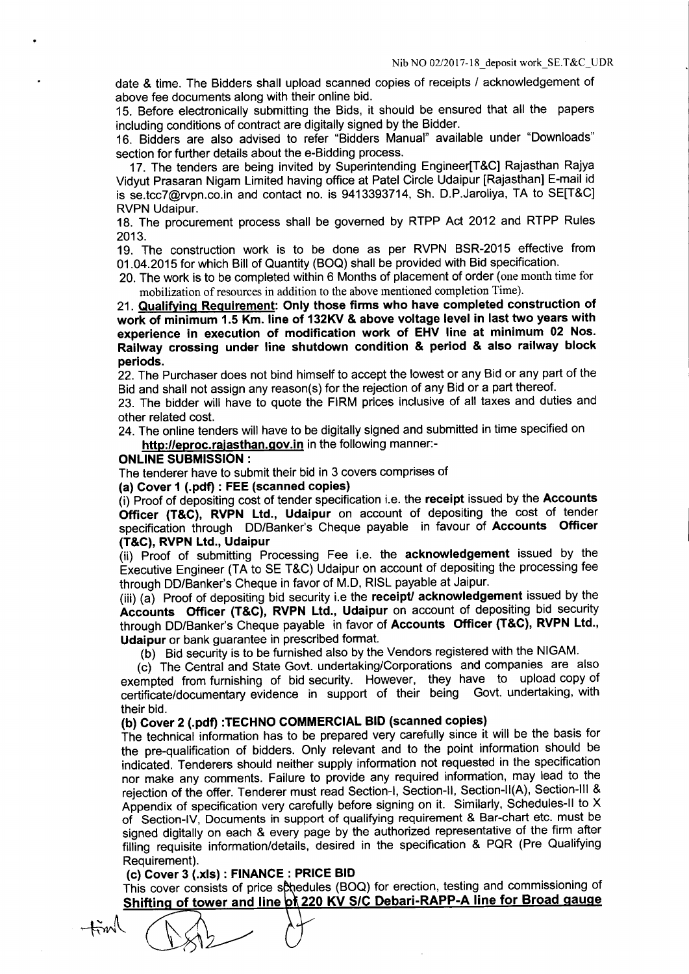date & time. The Bidders shall upload scanned copies of receipts / acknowledgement of above fee documents along with their online bid.

15. Before electronically submitting the Bids, it should be ensured that all the papers including conditions of contract are digitally signed by the Bidder.

16. Bidders are also advised to refer "Bidders Manual" available under "Downloads" section for further details about the e-Bidding process.

17. The tenders are being invited by Superintending Engineer[T&C] Rajasthan Rajya Vidyut Prasaran Nigam Limited having office at Patel Circle Udaipur [Rajasthan] E-mail id is se.tcc7@rvpn.co.in and contact no. is 9413393714, Sh. D.P.Jaroliya, TA to SE[T&C] RVPN Udaipur.

18. The procurement process shall be governed by RTPP Act 2012 and RTPP Rules 2013.

19. The construction work is to be done as per RVPN BSR-2015 effective from 01.04.2015 for which Bill of Quantity (BOQ) shall be provided with Bid specification.

20. The work is to be completed within 6 Months of placement of order (one month time for mobilization of resources in addition to the above mentioned completion Time).

21. Qualifying Requirement: Only those firms who have completed construction of work of minimum 1.5 Km. line of 132KV & above voltage level in last two years with experience in execution of modification work of EHV line at minimum 02 Nos. Railway crossing under line shutdown condition & period & also railway block periods.

22. The Purchaser does not bind himself to accept the lowest or any Bid or any part of the Bid and shall not assign any reason(s) for the rejection of any Bid or a part thereof.

23. The bidder will have to quote the FIRM prices inclusive of all taxes and duties and other related cost.

24. The online tenders will have to be digitally signed and submitted in time specified on http://eproc.rajasthan.gov.in in the following manner:-

#### ONLINE SUBMISSION:

The tenderer have to submit their bid in 3 covers comprises of

(a) Cover 1 (.pdf) : FEE (scanned copies)

(i) Proof of depositing cost of tender specification i.e. the receipt issued by the Accounts Officer (T&C), RVPN Ltd., Udaipur on account of depositing the cost of tender specification through DD/Banker's Cheque payable in favour of Accounts Officer (T&C), RVPN Ltd., Udaipur

(ii) Proof of submitting Processing Fee i.e. the acknowledgement issued by the Executive Engineer (TA to SE T&C) Udaipur on account of depositing the processing fee through DO/Banker's Cheque in favor of M.D, RISL payable at Jaipur.

(iii) (a) Proof of depositing bid security i.e the receipt/ acknowledgement issued by the Accounts Officer (T&C), RVPN Ltd., Udaipur on account of depositing bid security through DO/Banker's Cheque payable in favor of Accounts Officer (T&C), RVPN Ltd., Udaipur or bank guarantee in prescribed format.

(b) Bid security is to be furnished also by the Vendors registered with the NIGAM.

(c) The Central and State Govt. undertaking/Corporations and companies are also exempted from furnishing of bid security. However, they have to upload copy of certificate/documentary evidence in support of their being Govt. undertaking, with their bid.

# (b) Cover 2 (.pdf) :TECHNO COMMERCIAL BID (scanned copies)

The technical information has to be prepared very carefully since it will be the basis for the pre-qualification of bidders. Only relevant and to the point information should be indicated. Tenderers should neither supply information not requested in the specification nor make any comments. Failure to provide any required information, may lead to the rejection of the offer. Tenderer must read Section-I, Section-II, Section-II(A), Section-III & Appendix of specification very carefully before signing on it. Similarly, Schedules-II to X of Section-IV, Documents in support of qualifying requirement & Bar-chart etc. must be signed digitally on each & every page by the authorized representative of the firm after filling requisite information/details, desired in the specification & PQR (Pre Qualifying Requirement).

### (c) Cover 3 (.xls) : FINANCE: PRICE BID

 $+$  $\frac{1}{2}$ 

This cover consists of price schedules (BOQ) for erection, testing and commissioning of Shifting of tower and line of 220 KV S/C Debari-RAPP-A line for Broad gauge